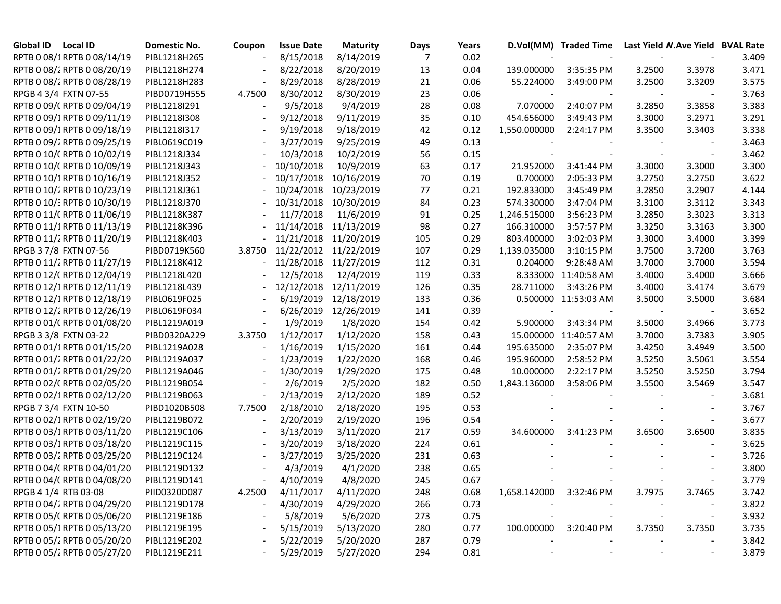| Global ID Local ID          | Domestic No. | Coupon | <b>Issue Date</b> | <b>Maturity</b> | Days | Years |                         | D.Vol(MM) Traded Time |                          |                | Last Yield W.Ave Yield BVAL Rate |
|-----------------------------|--------------|--------|-------------------|-----------------|------|-------|-------------------------|-----------------------|--------------------------|----------------|----------------------------------|
| RPTB 0 08/1RPTB 0 08/14/19  | PIBL1218H265 |        | 8/15/2018         | 8/14/2019       | 7    | 0.02  |                         |                       |                          |                | 3.409                            |
| RPTB 0 08/2 RPTB 0 08/20/19 | PIBL1218H274 |        | 8/22/2018         | 8/20/2019       | 13   | 0.04  | 139.000000              | 3:35:35 PM            | 3.2500                   | 3.3978         | 3.471                            |
| RPTB 0 08/2 RPTB 0 08/28/19 | PIBL1218H283 |        | 8/29/2018         | 8/28/2019       | 21   | 0.06  | 55.224000               | 3:49:00 PM            | 3.2500                   | 3.3209         | 3.575                            |
| RPGB 4 3/4 FXTN 07-55       | PIBD0719H555 | 4.7500 | 8/30/2012         | 8/30/2019       | 23   | 0.06  |                         |                       |                          |                | 3.763                            |
| RPTB 0 09/C RPTB 0 09/04/19 | PIBL1218I291 |        | 9/5/2018          | 9/4/2019        | 28   | 0.08  | 7.070000                | 2:40:07 PM            | 3.2850                   | 3.3858         | 3.383                            |
| RPTB 0 09/1RPTB 0 09/11/19  | PIBL1218I308 |        | 9/12/2018         | 9/11/2019       | 35   | 0.10  | 454.656000              | 3:49:43 PM            | 3.3000                   | 3.2971         | 3.291                            |
| RPTB 0 09/1RPTB 0 09/18/19  | PIBL1218I317 |        | 9/19/2018         | 9/18/2019       | 42   | 0.12  | 1,550.000000            | 2:24:17 PM            | 3.3500                   | 3.3403         | 3.338                            |
| RPTB 0 09/2 RPTB 0 09/25/19 | PIBL0619C019 |        | 3/27/2019         | 9/25/2019       | 49   | 0.13  |                         |                       |                          |                | 3.463                            |
| RPTB 0 10/C RPTB 0 10/02/19 | PIBL1218J334 |        | 10/3/2018         | 10/2/2019       | 56   | 0.15  |                         |                       |                          |                | 3.462                            |
| RPTB 0 10/C RPTB 0 10/09/19 | PIBL1218J343 |        | 10/10/2018        | 10/9/2019       | 63   | 0.17  | 21.952000               | 3:41:44 PM            | 3.3000                   | 3.3000         | 3.300                            |
| RPTB 0 10/1RPTB 0 10/16/19  | PIBL1218J352 |        | 10/17/2018        | 10/16/2019      | 70   | 0.19  | 0.700000                | 2:05:33 PM            | 3.2750                   | 3.2750         | 3.622                            |
| RPTB 0 10/2 RPTB 0 10/23/19 | PIBL1218J361 |        | 10/24/2018        | 10/23/2019      | 77   | 0.21  | 192.833000              | 3:45:49 PM            | 3.2850                   | 3.2907         | 4.144                            |
| RPTB 0 10/3 RPTB 0 10/30/19 | PIBL1218J370 |        | 10/31/2018        | 10/30/2019      | 84   | 0.23  | 574.330000              | 3:47:04 PM            | 3.3100                   | 3.3112         | 3.343                            |
| RPTB 0 11/ CRPTB 0 11/06/19 | PIBL1218K387 |        | 11/7/2018         | 11/6/2019       | 91   | 0.25  | 1,246.515000            | 3:56:23 PM            | 3.2850                   | 3.3023         | 3.313                            |
| RPTB 0 11/1RPTB 0 11/13/19  | PIBL1218K396 |        | 11/14/2018        | 11/13/2019      | 98   | 0.27  | 166.310000              | 3:57:57 PM            | 3.3250                   | 3.3163         | 3.300                            |
| RPTB 0 11/2 RPTB 0 11/20/19 | PIBL1218K403 |        | 11/21/2018        | 11/20/2019      | 105  | 0.29  | 803.400000              | 3:02:03 PM            | 3.3000                   | 3.4000         | 3.399                            |
| RPGB 3 7/8 FXTN 07-56       | PIBD0719K560 | 3.8750 | 11/22/2012        | 11/22/2019      | 107  | 0.29  | 1,139.035000            | 3:10:15 PM            | 3.7500                   | 3.7200         | 3.763                            |
| RPTB 0 11/2 RPTB 0 11/27/19 | PIBL1218K412 |        | 11/28/2018        | 11/27/2019      | 112  | 0.31  | 0.204000                | 9:28:48 AM            | 3.7000                   | 3.7000         | 3.594                            |
| RPTB 0 12/C RPTB 0 12/04/19 | PIBL1218L420 |        | 12/5/2018         | 12/4/2019       | 119  | 0.33  | 8.333000                | 11:40:58 AM           | 3.4000                   | 3.4000         | 3.666                            |
| RPTB 0 12/1RPTB 0 12/11/19  | PIBL1218L439 |        | 12/12/2018        | 12/11/2019      | 126  | 0.35  | 28.711000               | 3:43:26 PM            | 3.4000                   | 3.4174         | 3.679                            |
| RPTB 0 12/1RPTB 0 12/18/19  | PIBL0619F025 |        | 6/19/2019         | 12/18/2019      | 133  | 0.36  | 0.500000                | 11:53:03 AM           | 3.5000                   | 3.5000         | 3.684                            |
| RPTB 0 12/2 RPTB 0 12/26/19 | PIBL0619F034 |        | 6/26/2019         | 12/26/2019      | 141  | 0.39  |                         |                       |                          |                | 3.652                            |
| RPTB 0 01/C RPTB 0 01/08/20 | PIBL1219A019 |        | 1/9/2019          | 1/8/2020        | 154  | 0.42  | 5.900000                | 3:43:34 PM            | 3.5000                   | 3.4966         | 3.773                            |
| RPGB 3 3/8 FXTN 03-22       | PIBD0320A229 | 3.3750 | 1/12/2017         | 1/12/2020       | 158  | 0.43  |                         | 15.000000 11:40:57 AM | 3.7000                   | 3.7383         | 3.905                            |
| RPTB 0 01/1RPTB 0 01/15/20  | PIBL1219A028 |        | 1/16/2019         | 1/15/2020       | 161  | 0.44  | 195.635000              | 2:35:07 PM            | 3.4250                   | 3.4949         | 3.500                            |
| RPTB 0 01/2 RPTB 0 01/22/20 | PIBL1219A037 |        | 1/23/2019         | 1/22/2020       | 168  | 0.46  | 195.960000              | 2:58:52 PM            | 3.5250                   | 3.5061         | 3.554                            |
| RPTB 0 01/2 RPTB 0 01/29/20 | PIBL1219A046 |        | 1/30/2019         | 1/29/2020       | 175  | 0.48  | 10.000000               | 2:22:17 PM            | 3.5250                   | 3.5250         | 3.794                            |
| RPTB 0 02/C RPTB 0 02/05/20 | PIBL1219B054 |        | 2/6/2019          | 2/5/2020        | 182  | 0.50  | 1,843.136000            | 3:58:06 PM            | 3.5500                   | 3.5469         | 3.547                            |
| RPTB 0 02/1RPTB 0 02/12/20  | PIBL1219B063 |        | 2/13/2019         | 2/12/2020       | 189  | 0.52  |                         |                       |                          |                | 3.681                            |
| RPGB 7 3/4 FXTN 10-50       | PIBD1020B508 | 7.7500 | 2/18/2010         | 2/18/2020       | 195  | 0.53  |                         |                       |                          |                | 3.767                            |
| RPTB 0 02/1RPTB 0 02/19/20  | PIBL1219B072 |        | 2/20/2019         | 2/19/2020       | 196  | 0.54  |                         |                       |                          | $\blacksquare$ | 3.677                            |
| RPTB 0 03/1RPTB 0 03/11/20  | PIBL1219C106 |        | 3/13/2019         | 3/11/2020       | 217  | 0.59  | 34.600000               | 3:41:23 PM            | 3.6500                   | 3.6500         | 3.835                            |
| RPTB 0 03/1RPTB 0 03/18/20  | PIBL1219C115 |        | 3/20/2019         | 3/18/2020       | 224  | 0.61  |                         |                       |                          |                | 3.625                            |
| RPTB 0 03/2 RPTB 0 03/25/20 | PIBL1219C124 |        | 3/27/2019         | 3/25/2020       | 231  | 0.63  |                         |                       |                          |                | 3.726                            |
| RPTB 0 04/C RPTB 0 04/01/20 | PIBL1219D132 |        | 4/3/2019          | 4/1/2020        | 238  | 0.65  |                         |                       |                          |                | 3.800                            |
| RPTB 0 04/C RPTB 0 04/08/20 | PIBL1219D141 |        | 4/10/2019         | 4/8/2020        | 245  | 0.67  |                         |                       |                          |                | 3.779                            |
| RPGB 4 1/4 RTB 03-08        | PIID0320D087 | 4.2500 | 4/11/2017         | 4/11/2020       | 248  | 0.68  | 1,658.142000 3:32:46 PM |                       | 3.7975                   | 3.7465         | 3.742                            |
| RPTB 0 04/2 RPTB 0 04/29/20 | PIBL1219D178 |        | 4/30/2019         | 4/29/2020       | 266  | 0.73  |                         |                       |                          |                | 3.822                            |
| RPTB 0 05/C RPTB 0 05/06/20 | PIBL1219E186 |        | 5/8/2019          | 5/6/2020        | 273  | 0.75  |                         |                       | $\overline{\phantom{a}}$ | $\blacksquare$ | 3.932                            |
| RPTB 0 05/1RPTB 0 05/13/20  | PIBL1219E195 |        | 5/15/2019         | 5/13/2020       | 280  | 0.77  | 100.000000              | 3:20:40 PM            | 3.7350                   | 3.7350         | 3.735                            |
| RPTB 0 05/2 RPTB 0 05/20/20 | PIBL1219E202 |        | 5/22/2019         | 5/20/2020       | 287  | 0.79  |                         |                       |                          |                | 3.842                            |
| RPTB 0 05/2 RPTB 0 05/27/20 | PIBL1219E211 |        | 5/29/2019         | 5/27/2020       | 294  | 0.81  |                         |                       |                          |                | 3.879                            |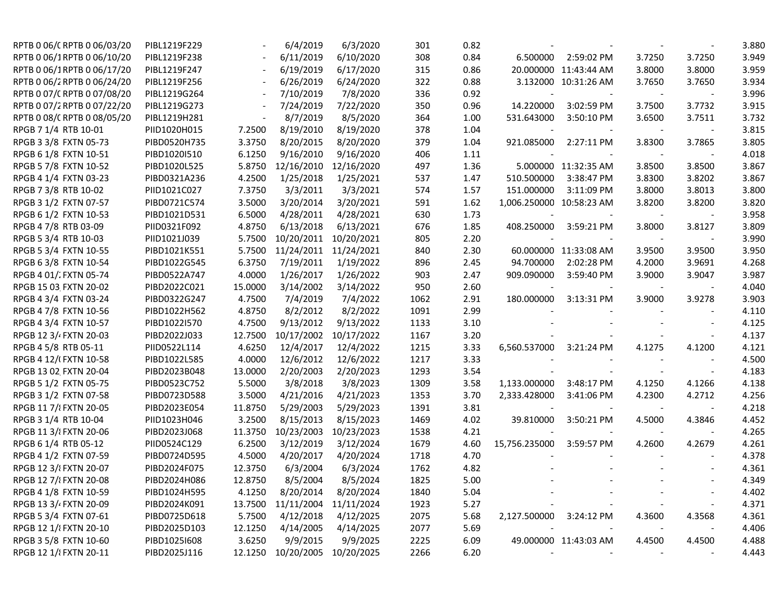| RPTB 0 06/C RPTB 0 06/03/20 | PIBL1219F229 |         | 6/4/2019           | 6/3/2020   | 301  | 0.82 |                          |                       |        |        | 3.880 |
|-----------------------------|--------------|---------|--------------------|------------|------|------|--------------------------|-----------------------|--------|--------|-------|
| RPTB 0 06/1RPTB 0 06/10/20  | PIBL1219F238 |         | 6/11/2019          | 6/10/2020  | 308  | 0.84 | 6.500000                 | 2:59:02 PM            | 3.7250 | 3.7250 | 3.949 |
| RPTB 0 06/1RPTB 0 06/17/20  | PIBL1219F247 |         | 6/19/2019          | 6/17/2020  | 315  | 0.86 |                          | 20.000000 11:43:44 AM | 3.8000 | 3.8000 | 3.959 |
| RPTB 0 06/2 RPTB 0 06/24/20 | PIBL1219F256 |         | 6/26/2019          | 6/24/2020  | 322  | 0.88 |                          | 3.132000 10:31:26 AM  | 3.7650 | 3.7650 | 3.934 |
| RPTB 0 07/C RPTB 0 07/08/20 | PIBL1219G264 |         | 7/10/2019          | 7/8/2020   | 336  | 0.92 |                          |                       |        |        | 3.996 |
| RPTB 0 07/2 RPTB 0 07/22/20 | PIBL1219G273 |         | 7/24/2019          | 7/22/2020  | 350  | 0.96 | 14.220000                | 3:02:59 PM            | 3.7500 | 3.7732 | 3.915 |
| RPTB 0 08/C RPTB 0 08/05/20 | PIBL1219H281 |         | 8/7/2019           | 8/5/2020   | 364  | 1.00 | 531.643000               | 3:50:10 PM            | 3.6500 | 3.7511 | 3.732 |
| RPGB 7 1/4 RTB 10-01        | PIID1020H015 | 7.2500  | 8/19/2010          | 8/19/2020  | 378  | 1.04 |                          |                       |        |        | 3.815 |
| RPGB 3 3/8 FXTN 05-73       | PIBD0520H735 | 3.3750  | 8/20/2015          | 8/20/2020  | 379  | 1.04 | 921.085000               | 2:27:11 PM            | 3.8300 | 3.7865 | 3.805 |
| RPGB 6 1/8 FXTN 10-51       | PIBD1020I510 | 6.1250  | 9/16/2010          | 9/16/2020  | 406  | 1.11 |                          |                       |        |        | 4.018 |
| RPGB 5 7/8 FXTN 10-52       | PIBD1020L525 | 5.8750  | 12/16/2010         | 12/16/2020 | 497  | 1.36 |                          | 5.000000 11:32:35 AM  | 3.8500 | 3.8500 | 3.867 |
| RPGB 4 1/4 FXTN 03-23       | PIBD0321A236 | 4.2500  | 1/25/2018          | 1/25/2021  | 537  | 1.47 | 510.500000               | 3:38:47 PM            | 3.8300 | 3.8202 | 3.867 |
| RPGB 7 3/8 RTB 10-02        | PIID1021C027 | 7.3750  | 3/3/2011           | 3/3/2021   | 574  | 1.57 | 151.000000               | 3:11:09 PM            | 3.8000 | 3.8013 | 3.800 |
| RPGB 3 1/2 FXTN 07-57       | PIBD0721C574 | 3.5000  | 3/20/2014          | 3/20/2021  | 591  | 1.62 | 1,006.250000 10:58:23 AM |                       | 3.8200 | 3.8200 | 3.820 |
| RPGB 6 1/2 FXTN 10-53       | PIBD1021D531 | 6.5000  | 4/28/2011          | 4/28/2021  | 630  | 1.73 |                          |                       |        |        | 3.958 |
| RPGB 4 7/8 RTB 03-09        | PIID0321F092 | 4.8750  | 6/13/2018          | 6/13/2021  | 676  | 1.85 | 408.250000               | 3:59:21 PM            | 3.8000 | 3.8127 | 3.809 |
| RPGB 5 3/4 RTB 10-03        | PIID1021J039 | 5.7500  | 10/20/2011         | 10/20/2021 | 805  | 2.20 |                          |                       |        |        | 3.990 |
| RPGB 5 3/4 FXTN 10-55       | PIBD1021K551 | 5.7500  | 11/24/2011         | 11/24/2021 | 840  | 2.30 |                          | 60.000000 11:33:08 AM | 3.9500 | 3.9500 | 3.950 |
| RPGB 6 3/8 FXTN 10-54       | PIBD1022G545 | 6.3750  | 7/19/2011          | 1/19/2022  | 896  | 2.45 | 94.700000                | 2:02:28 PM            | 4.2000 | 3.9691 | 4.268 |
| RPGB 4 01/ FXTN 05-74       | PIBD0522A747 | 4.0000  | 1/26/2017          | 1/26/2022  | 903  | 2.47 | 909.090000               | 3:59:40 PM            | 3.9000 | 3.9047 | 3.987 |
| RPGB 15 03 FXTN 20-02       | PIBD2022C021 | 15.0000 | 3/14/2002          | 3/14/2022  | 950  | 2.60 |                          |                       |        |        | 4.040 |
| RPGB 4 3/4 FXTN 03-24       | PIBD0322G247 | 4.7500  | 7/4/2019           | 7/4/2022   | 1062 | 2.91 | 180.000000               | 3:13:31 PM            | 3.9000 | 3.9278 | 3.903 |
| RPGB 4 7/8 FXTN 10-56       | PIBD1022H562 | 4.8750  | 8/2/2012           | 8/2/2022   | 1091 | 2.99 |                          |                       |        |        | 4.110 |
| RPGB 4 3/4 FXTN 10-57       | PIBD1022I570 | 4.7500  | 9/13/2012          | 9/13/2022  | 1133 | 3.10 |                          |                       |        |        | 4.125 |
| RPGB 12 3/4 FXTN 20-03      | PIBD2022J033 | 12.7500 | 10/17/2002         | 10/17/2022 | 1167 | 3.20 |                          |                       |        |        | 4.137 |
| RPGB 4 5/8 RTB 05-11        | PIID0522L114 | 4.6250  | 12/4/2017          | 12/4/2022  | 1215 | 3.33 | 6,560.537000             | 3:21:24 PM            | 4.1275 | 4.1200 | 4.121 |
| RPGB 4 12/(FXTN 10-58       | PIBD1022L585 | 4.0000  | 12/6/2012          | 12/6/2022  | 1217 | 3.33 |                          |                       |        |        | 4.500 |
| RPGB 13 02, FXTN 20-04      | PIBD2023B048 | 13.0000 | 2/20/2003          | 2/20/2023  | 1293 | 3.54 |                          |                       |        |        | 4.183 |
| RPGB 5 1/2 FXTN 05-75       | PIBD0523C752 | 5.5000  | 3/8/2018           | 3/8/2023   | 1309 | 3.58 | 1,133.000000             | 3:48:17 PM            | 4.1250 | 4.1266 | 4.138 |
| RPGB 3 1/2 FXTN 07-58       | PIBD0723D588 | 3.5000  | 4/21/2016          | 4/21/2023  | 1353 | 3.70 | 2,333.428000             | 3:41:06 PM            | 4.2300 | 4.2712 | 4.256 |
| RPGB 11 7/ FXTN 20-05       | PIBD2023E054 | 11.8750 | 5/29/2003          | 5/29/2023  | 1391 | 3.81 |                          |                       |        |        | 4.218 |
| RPGB 3 1/4 RTB 10-04        | PIID1023H046 | 3.2500  | 8/15/2013          | 8/15/2023  | 1469 | 4.02 | 39.810000                | 3:50:21 PM            | 4.5000 | 4.3846 | 4.452 |
| RPGB 11 3/ FXTN 20-06       | PIBD2023J068 | 11.3750 | 10/23/2003         | 10/23/2023 | 1538 | 4.21 |                          |                       |        |        | 4.265 |
| RPGB 6 1/4 RTB 05-12        | PIID0524C129 | 6.2500  | 3/12/2019          | 3/12/2024  | 1679 | 4.60 | 15,756.235000            | 3:59:57 PM            | 4.2600 | 4.2679 | 4.261 |
| RPGB 4 1/2 FXTN 07-59       | PIBD0724D595 | 4.5000  | 4/20/2017          | 4/20/2024  | 1718 | 4.70 |                          |                       |        |        | 4.378 |
| RPGB 12 3/ FXTN 20-07       | PIBD2024F075 | 12.3750 | 6/3/2004           | 6/3/2024   | 1762 | 4.82 |                          |                       |        |        | 4.361 |
| RPGB 12 7/ FXTN 20-08       | PIBD2024H086 | 12.8750 | 8/5/2004           | 8/5/2024   | 1825 | 5.00 |                          |                       |        |        | 4.349 |
| RPGB 4 1/8 FXTN 10-59       | PIBD1024H595 | 4.1250  | 8/20/2014          | 8/20/2024  | 1840 | 5.04 |                          |                       |        |        | 4.402 |
| RPGB 13 3/4 FXTN 20-09      | PIBD2024K091 | 13.7500 | 11/11/2004         | 11/11/2024 | 1923 | 5.27 |                          |                       |        |        | 4.371 |
| RPGB 5 3/4 FXTN 07-61       | PIBD0725D618 | 5.7500  | 4/12/2018          | 4/12/2025  | 2075 | 5.68 | 2,127.500000             | 3:24:12 PM            | 4.3600 | 4.3568 | 4.361 |
| RPGB 12 1/ FXTN 20-10       | PIBD2025D103 | 12.1250 | 4/14/2005          | 4/14/2025  | 2077 | 5.69 |                          |                       |        |        | 4.406 |
| RPGB 3 5/8 FXTN 10-60       | PIBD10251608 | 3.6250  | 9/9/2015           | 9/9/2025   | 2225 | 6.09 |                          | 49.000000 11:43:03 AM | 4.4500 | 4.4500 | 4.488 |
| RPGB 12 1/ FXTN 20-11       | PIBD2025J116 |         | 12.1250 10/20/2005 | 10/20/2025 | 2266 | 6.20 |                          |                       |        |        | 4.443 |